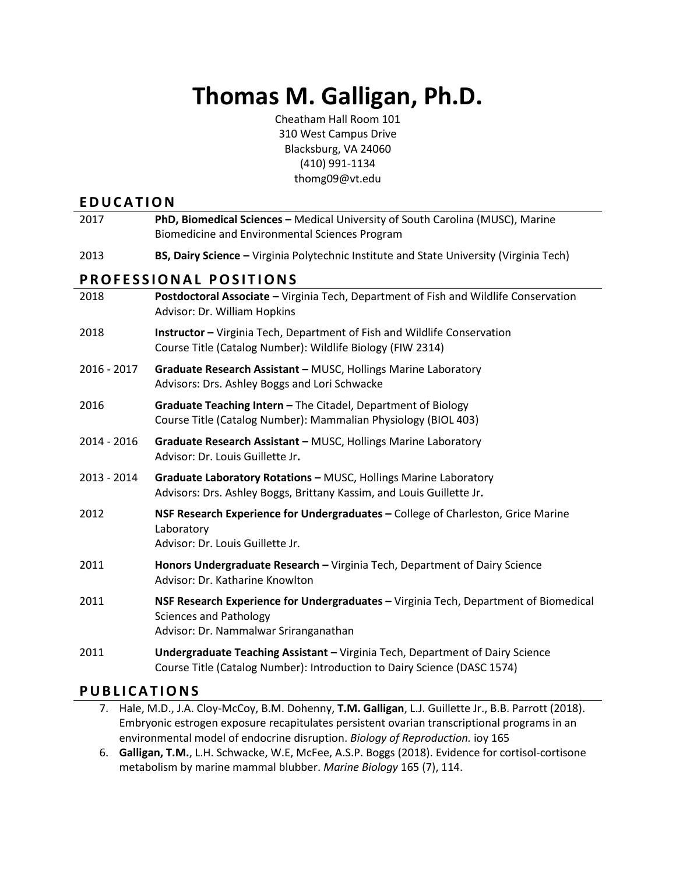# **Thomas M. Galligan, Ph.D.**

Cheatham Hall Room 101 310 West Campus Drive Blacksburg, VA 24060 (410) 991-1134 thomg09@vt.edu

## **E D U C A T I O N**

| 2017                   | PhD, Biomedical Sciences - Medical University of South Carolina (MUSC), Marine<br>Biomedicine and Environmental Sciences Program                               |  |
|------------------------|----------------------------------------------------------------------------------------------------------------------------------------------------------------|--|
| 2013                   | BS, Dairy Science - Virginia Polytechnic Institute and State University (Virginia Tech)                                                                        |  |
| PROFESSIONAL POSITIONS |                                                                                                                                                                |  |
| 2018                   | Postdoctoral Associate - Virginia Tech, Department of Fish and Wildlife Conservation<br>Advisor: Dr. William Hopkins                                           |  |
| 2018                   | <b>Instructor</b> - Virginia Tech, Department of Fish and Wildlife Conservation<br>Course Title (Catalog Number): Wildlife Biology (FIW 2314)                  |  |
| 2016 - 2017            | Graduate Research Assistant - MUSC, Hollings Marine Laboratory<br>Advisors: Drs. Ashley Boggs and Lori Schwacke                                                |  |
| 2016                   | Graduate Teaching Intern - The Citadel, Department of Biology<br>Course Title (Catalog Number): Mammalian Physiology (BIOL 403)                                |  |
| 2014 - 2016            | Graduate Research Assistant - MUSC, Hollings Marine Laboratory<br>Advisor: Dr. Louis Guillette Jr.                                                             |  |
| 2013 - 2014            | Graduate Laboratory Rotations - MUSC, Hollings Marine Laboratory<br>Advisors: Drs. Ashley Boggs, Brittany Kassim, and Louis Guillette Jr.                      |  |
| 2012                   | NSF Research Experience for Undergraduates - College of Charleston, Grice Marine<br>Laboratory<br>Advisor: Dr. Louis Guillette Jr.                             |  |
| 2011                   | Honors Undergraduate Research - Virginia Tech, Department of Dairy Science<br>Advisor: Dr. Katharine Knowlton                                                  |  |
| 2011                   | NSF Research Experience for Undergraduates - Virginia Tech, Department of Biomedical<br><b>Sciences and Pathology</b><br>Advisor: Dr. Nammalwar Sriranganathan |  |
| 2011                   | Undergraduate Teaching Assistant - Virginia Tech, Department of Dairy Science<br>Course Title (Catalog Number): Introduction to Dairy Science (DASC 1574)      |  |

## **P U B L I C A T I O N S**

- 7. Hale, M.D., J.A. Cloy-McCoy, B.M. Dohenny, **T.M. Galligan**, L.J. Guillette Jr., B.B. Parrott (2018). Embryonic estrogen exposure recapitulates persistent ovarian transcriptional programs in an environmental model of endocrine disruption. *Biology of Reproduction.* ioy 165
- 6. **Galligan, T.M.**, L.H. Schwacke, W.E, McFee, A.S.P. Boggs (2018). Evidence for cortisol-cortisone metabolism by marine mammal blubber. *Marine Biology* 165 (7), 114.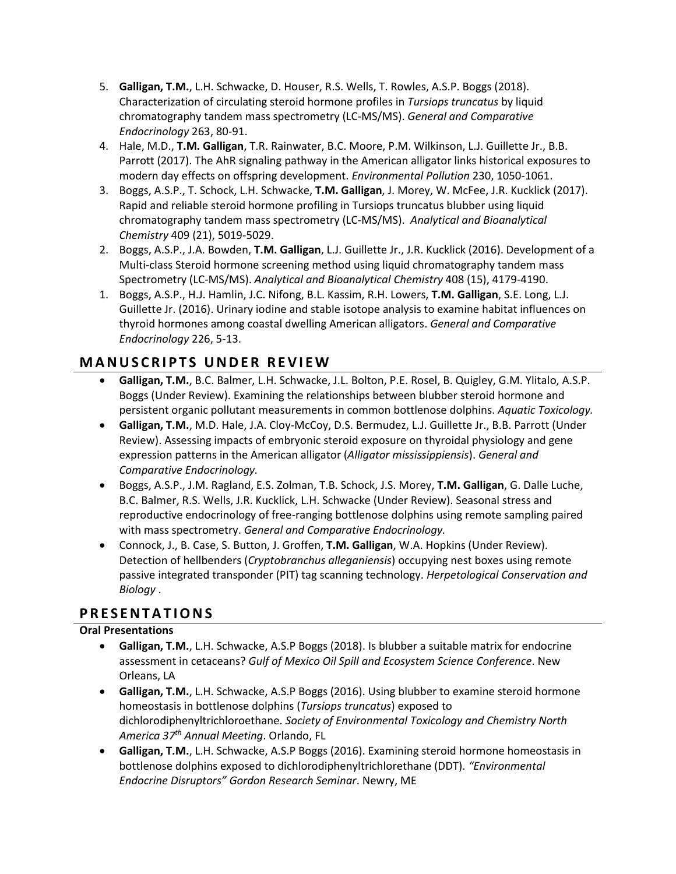- 5. **Galligan, T.M.**, L.H. Schwacke, D. Houser, R.S. Wells, T. Rowles, A.S.P. Boggs (2018). Characterization of circulating steroid hormone profiles in *Tursiops truncatus* by liquid chromatography tandem mass spectrometry (LC-MS/MS). *General and Comparative Endocrinology* 263, 80-91.
- 4. Hale, M.D., **T.M. Galligan**, T.R. Rainwater, B.C. Moore, P.M. Wilkinson, L.J. Guillette Jr., B.B. Parrott (2017). The AhR signaling pathway in the American alligator links historical exposures to modern day effects on offspring development. *Environmental Pollution* 230, 1050-1061.
- 3. Boggs, A.S.P., T. Schock, L.H. Schwacke, **T.M. Galligan**, J. Morey, W. McFee, J.R. Kucklick (2017). Rapid and reliable steroid hormone profiling in Tursiops truncatus blubber using liquid chromatography tandem mass spectrometry (LC-MS/MS). *Analytical and Bioanalytical Chemistry* 409 (21), 5019-5029.
- 2. Boggs, A.S.P., J.A. Bowden, **T.M. Galligan**, L.J. Guillette Jr., J.R. Kucklick (2016). Development of a Multi-class Steroid hormone screening method using liquid chromatography tandem mass Spectrometry (LC-MS/MS). *Analytical and Bioanalytical Chemistry* 408 (15), 4179-4190.
- 1. Boggs, A.S.P., H.J. Hamlin, J.C. Nifong, B.L. Kassim, R.H. Lowers, **T.M. Galligan**, S.E. Long, L.J. Guillette Jr. (2016). Urinary iodine and stable isotope analysis to examine habitat influences on thyroid hormones among coastal dwelling American alligators. *General and Comparative Endocrinology* 226, 5-13.

# **M A N U S C R I P T S U N D E R R E V I E W**

- **Galligan, T.M.**, B.C. Balmer, L.H. Schwacke, J.L. Bolton, P.E. Rosel, B. Quigley, G.M. Ylitalo, A.S.P. Boggs (Under Review). Examining the relationships between blubber steroid hormone and persistent organic pollutant measurements in common bottlenose dolphins. *Aquatic Toxicology.*
- **Galligan, T.M.**, M.D. Hale, J.A. Cloy-McCoy, D.S. Bermudez, L.J. Guillette Jr., B.B. Parrott (Under Review). Assessing impacts of embryonic steroid exposure on thyroidal physiology and gene expression patterns in the American alligator (*Alligator mississippiensis*). *General and Comparative Endocrinology.*
- Boggs, A.S.P., J.M. Ragland, E.S. Zolman, T.B. Schock, J.S. Morey, **T.M. Galligan**, G. Dalle Luche, B.C. Balmer, R.S. Wells, J.R. Kucklick, L.H. Schwacke (Under Review). Seasonal stress and reproductive endocrinology of free-ranging bottlenose dolphins using remote sampling paired with mass spectrometry. *General and Comparative Endocrinology.*
- Connock, J., B. Case, S. Button, J. Groffen, **T.M. Galligan**, W.A. Hopkins (Under Review). Detection of hellbenders (*Cryptobranchus alleganiensis*) occupying nest boxes using remote passive integrated transponder (PIT) tag scanning technology. *Herpetological Conservation and Biology* .

## **P R E S E N T A T I O N S**

#### **Oral Presentations**

- **Galligan, T.M.**, L.H. Schwacke, A.S.P Boggs (2018). Is blubber a suitable matrix for endocrine assessment in cetaceans? *Gulf of Mexico Oil Spill and Ecosystem Science Conference*. New Orleans, LA
- **Galligan, T.M.**, L.H. Schwacke, A.S.P Boggs (2016). Using blubber to examine steroid hormone homeostasis in bottlenose dolphins (*Tursiops truncatus*) exposed to dichlorodiphenyltrichloroethane. *Society of Environmental Toxicology and Chemistry North America 37th Annual Meeting*. Orlando, FL
- **Galligan, T.M.**, L.H. Schwacke, A.S.P Boggs (2016). Examining steroid hormone homeostasis in bottlenose dolphins exposed to dichlorodiphenyltrichlorethane (DDT)*. "Environmental Endocrine Disruptors" Gordon Research Seminar*. Newry, ME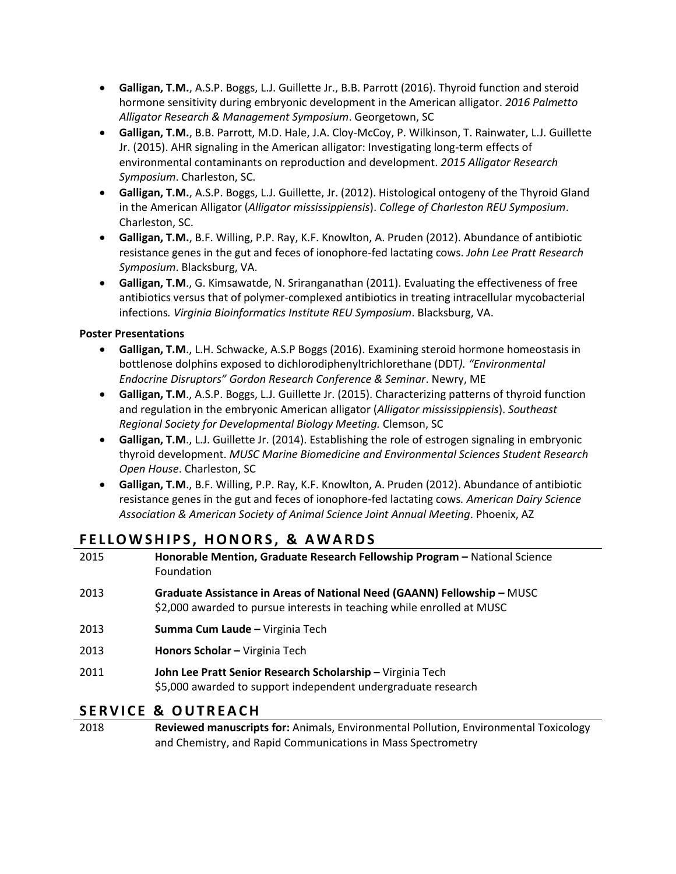- **Galligan, T.M.**, A.S.P. Boggs, L.J. Guillette Jr., B.B. Parrott (2016). Thyroid function and steroid hormone sensitivity during embryonic development in the American alligator. *2016 Palmetto Alligator Research & Management Symposium*. Georgetown, SC
- **Galligan, T.M.**, B.B. Parrott, M.D. Hale, J.A. Cloy-McCoy, P. Wilkinson, T. Rainwater, L.J. Guillette Jr. (2015). AHR signaling in the American alligator: Investigating long-term effects of environmental contaminants on reproduction and development. *2015 Alligator Research Symposium*. Charleston, SC.
- **Galligan, T.M.**, A.S.P. Boggs, L.J. Guillette, Jr. (2012). Histological ontogeny of the Thyroid Gland in the American Alligator (*Alligator mississippiensis*). *College of Charleston REU Symposium*. Charleston, SC.
- **Galligan, T.M.**, B.F. Willing, P.P. Ray, K.F. Knowlton, A. Pruden (2012). Abundance of antibiotic resistance genes in the gut and feces of ionophore-fed lactating cows. *John Lee Pratt Research Symposium*. Blacksburg, VA.
- **Galligan, T.M**., G. Kimsawatde, N. Sriranganathan (2011). Evaluating the effectiveness of free antibiotics versus that of polymer-complexed antibiotics in treating intracellular mycobacterial infections*. Virginia Bioinformatics Institute REU Symposium*. Blacksburg, VA.

#### **Poster Presentations**

- **Galligan, T.M**., L.H. Schwacke, A.S.P Boggs (2016). Examining steroid hormone homeostasis in bottlenose dolphins exposed to dichlorodiphenyltrichlorethane (DDT*). "Environmental Endocrine Disruptors" Gordon Research Conference & Seminar*. Newry, ME
- **Galligan, T.M**., A.S.P. Boggs, L.J. Guillette Jr. (2015). Characterizing patterns of thyroid function and regulation in the embryonic American alligator (*Alligator mississippiensis*). *Southeast Regional Society for Developmental Biology Meeting.* Clemson, SC
- **Galligan, T.M**., L.J. Guillette Jr. (2014). Establishing the role of estrogen signaling in embryonic thyroid development. *MUSC Marine Biomedicine and Environmental Sciences Student Research Open House*. Charleston, SC
- **Galligan, T.M**., B.F. Willing, P.P. Ray, K.F. Knowlton, A. Pruden (2012). Abundance of antibiotic resistance genes in the gut and feces of ionophore-fed lactating cows*. American Dairy Science Association & American Society of Animal Science Joint Annual Meeting*. Phoenix, AZ

# FELLOWSHIPS, HONORS, & AWARDS

| 2015 | Honorable Mention, Graduate Research Fellowship Program - National Science<br>Foundation                                                          |
|------|---------------------------------------------------------------------------------------------------------------------------------------------------|
| 2013 | Graduate Assistance in Areas of National Need (GAANN) Fellowship - MUSC<br>\$2,000 awarded to pursue interests in teaching while enrolled at MUSC |
| 2013 | Summa Cum Laude - Virginia Tech                                                                                                                   |
| 2013 | Honors Scholar - Virginia Tech                                                                                                                    |
| 2011 | John Lee Pratt Senior Research Scholarship - Virginia Tech<br>\$5,000 awarded to support independent undergraduate research                       |
|      | CEDVICE O OUTDEACU                                                                                                                                |

## SERVICE & OUTREACH

2018 **Reviewed manuscripts for:** Animals, Environmental Pollution, Environmental Toxicology and Chemistry, and Rapid Communications in Mass Spectrometry